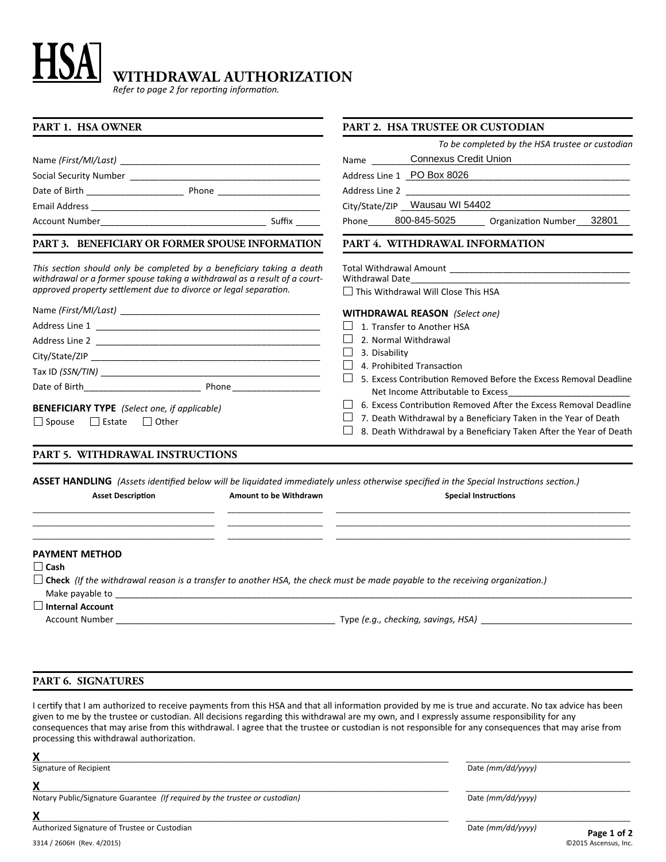# **WITHDRAWAL AUTHORIZATION**

*Refer to page 2 for reporting information.*

| <b>PART 1. HSA OWNER</b>                                                                                                                           | <b>PART 2. HSA TRUSTEE OR CUSTODIAN</b>                                                               |
|----------------------------------------------------------------------------------------------------------------------------------------------------|-------------------------------------------------------------------------------------------------------|
|                                                                                                                                                    | To be completed by the HSA trustee or custodian                                                       |
|                                                                                                                                                    | Connexus Credit Union<br>Name                                                                         |
|                                                                                                                                                    | Address Line 1 PO Box 8026                                                                            |
|                                                                                                                                                    |                                                                                                       |
|                                                                                                                                                    | City/State/ZIP _ Wausau WI 54402                                                                      |
|                                                                                                                                                    | Phone______800-845-5025________ Organization Number___32801                                           |
| PART 3. BENEFICIARY OR FORMER SPOUSE INFORMATION                                                                                                   | PART 4. WITHDRAWAL INFORMATION                                                                        |
| This section should only be completed by a beneficiary taking a death<br>withdrawal or a former spouse taking a withdrawal as a result of a court- | Withdrawal Date______________                                                                         |
| approved property settlement due to divorce or legal separation.                                                                                   | $\Box$ This Withdrawal Will Close This HSA                                                            |
|                                                                                                                                                    | <b>WITHDRAWAL REASON</b> (Select one)                                                                 |
|                                                                                                                                                    | 1. Transfer to Another HSA                                                                            |
|                                                                                                                                                    | 2. Normal Withdrawal                                                                                  |
|                                                                                                                                                    | ⊔<br>3. Disability                                                                                    |
|                                                                                                                                                    | 4. Prohibited Transaction                                                                             |
| Date of Birth Phone Phone                                                                                                                          | 5. Excess Contribution Removed Before the Excess Removal Deadline                                     |
|                                                                                                                                                    | Net Income Attributable to Excess<br>6. Excess Contribution Removed After the Excess Removal Deadline |
| <b>BENEFICIARY TYPE</b> (Select one, if applicable)                                                                                                | 7. Death Withdrawal by a Beneficiary Taken in the Year of Death                                       |
| □ Spouse □ Estate □ Other                                                                                                                          | 8. Death Withdrawal by a Beneficiary Taken After the Year of Death                                    |
| PART 5. WITHDRAWAL INSTRUCTIONS                                                                                                                    |                                                                                                       |
| ASSET HANDLING (Assets identified below will be liquidated immediately unless otherwise specified in the Special Instructions section.)            |                                                                                                       |
| <b>Asset Description</b><br>Amount to be Withdrawn                                                                                                 | <b>Special Instructions</b>                                                                           |
|                                                                                                                                                    |                                                                                                       |
| <b>PAYMENT METHOD</b>                                                                                                                              |                                                                                                       |
| $\Box$ Cash                                                                                                                                        |                                                                                                       |
| $\Box$ Check (If the withdrawal reason is a transfer to another HSA, the check must be made payable to the receiving organization.)                |                                                                                                       |
| Make payable to the state of the state of the state of the state of the state of the state of the state of the                                     |                                                                                                       |
| $\Box$ Internal Account<br>Account Number                                                                                                          | Type (e.g., checking, savings, HSA)                                                                   |

# **PART 6. SIGNATURES**

I certify that I am authorized to receive payments from this HSA and that all information provided by me is true and accurate. No tax advice has been given to me by the trustee or custodian. All decisions regarding this withdrawal are my own, and I expressly assume responsibility for any consequences that may arise from this withdrawal. I agree that the trustee or custodian is not responsible for any consequences that may arise from processing this withdrawal authorization.

**X**\_\_\_\_\_\_\_\_\_\_\_\_\_\_\_\_\_\_\_\_\_\_\_\_\_\_\_\_\_\_\_\_\_\_\_\_\_\_\_\_\_\_\_\_\_\_\_\_\_\_\_\_\_\_\_\_\_\_\_\_\_\_\_\_\_\_\_\_\_\_\_\_\_\_\_\_\_\_\_\_\_\_\_\_\_\_\_\_\_\_\_\_\_\_\_\_\_ Signature of Recipient

**X**\_\_\_\_\_\_\_\_\_\_\_\_\_\_\_\_\_\_\_\_\_\_\_\_\_\_\_\_\_\_\_\_\_\_\_\_\_\_\_\_\_\_\_\_\_\_\_\_\_\_\_\_\_\_\_\_\_\_\_\_\_\_\_\_\_\_\_\_\_\_\_\_\_\_\_\_\_\_\_\_\_\_\_\_\_\_\_\_\_\_\_\_\_\_\_\_\_

Notary Public/Signature Guarantee *(If required by the trustee or custodian)*

**X**\_\_\_\_\_\_\_\_\_\_\_\_\_\_\_\_\_\_\_\_\_\_\_\_\_\_\_\_\_\_\_\_\_\_\_\_\_\_\_\_\_\_\_\_\_\_\_\_\_\_\_\_\_\_\_\_\_\_\_\_\_\_\_\_\_\_\_\_\_\_\_\_\_\_\_\_\_\_\_\_\_\_\_\_\_\_\_\_\_\_\_\_\_\_\_\_\_ \_\_\_\_\_\_\_\_\_\_\_\_\_\_\_\_\_\_\_\_\_\_\_\_\_\_\_\_\_\_\_\_\_\_\_\_\_\_

Date *(mm/dd/yyyy)*

Date *(mm/dd/yyyy)*

\_\_\_\_\_\_\_\_\_\_\_\_\_\_\_\_\_\_\_\_\_\_\_\_\_\_\_\_\_\_\_\_\_\_\_\_\_\_

\_\_\_\_\_\_\_\_\_\_\_\_\_\_\_\_\_\_\_\_\_\_\_\_\_\_\_\_\_\_\_\_\_\_\_\_\_\_